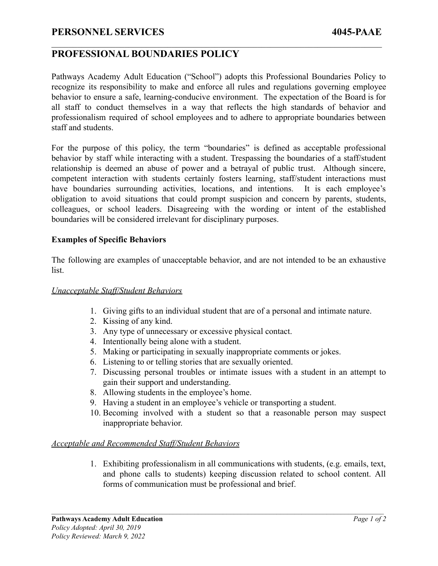## **PERSONNEL SERVICES 4045-PAAE**

# **PROFESSIONAL BOUNDARIES POLICY**

Pathways Academy Adult Education ("School") adopts this Professional Boundaries Policy to recognize its responsibility to make and enforce all rules and regulations governing employee behavior to ensure a safe, learning-conducive environment. The expectation of the Board is for all staff to conduct themselves in a way that reflects the high standards of behavior and professionalism required of school employees and to adhere to appropriate boundaries between staff and students.

 $\mathcal{L}_\mathcal{L} = \{ \mathcal{L}_\mathcal{L} = \{ \mathcal{L}_\mathcal{L} = \{ \mathcal{L}_\mathcal{L} = \{ \mathcal{L}_\mathcal{L} = \{ \mathcal{L}_\mathcal{L} = \{ \mathcal{L}_\mathcal{L} = \{ \mathcal{L}_\mathcal{L} = \{ \mathcal{L}_\mathcal{L} = \{ \mathcal{L}_\mathcal{L} = \{ \mathcal{L}_\mathcal{L} = \{ \mathcal{L}_\mathcal{L} = \{ \mathcal{L}_\mathcal{L} = \{ \mathcal{L}_\mathcal{L} = \{ \mathcal{L}_\mathcal{$ 

For the purpose of this policy, the term "boundaries" is defined as acceptable professional behavior by staff while interacting with a student. Trespassing the boundaries of a staff/student relationship is deemed an abuse of power and a betrayal of public trust. Although sincere, competent interaction with students certainly fosters learning, staff/student interactions must have boundaries surrounding activities, locations, and intentions. It is each employee's obligation to avoid situations that could prompt suspicion and concern by parents, students, colleagues, or school leaders. Disagreeing with the wording or intent of the established boundaries will be considered irrelevant for disciplinary purposes.

### **Examples of Specific Behaviors**

The following are examples of unacceptable behavior, and are not intended to be an exhaustive list.

#### *Unacceptable Staff/Student Behaviors*

- 1. Giving gifts to an individual student that are of a personal and intimate nature.
- 2. Kissing of any kind.
- 3. Any type of unnecessary or excessive physical contact.
- 4. Intentionally being alone with a student.
- 5. Making or participating in sexually inappropriate comments or jokes.
- 6. Listening to or telling stories that are sexually oriented.
- 7. Discussing personal troubles or intimate issues with a student in an attempt to gain their support and understanding.
- 8. Allowing students in the employee's home.
- 9. Having a student in an employee's vehicle or transporting a student.
- 10. Becoming involved with a student so that a reasonable person may suspect inappropriate behavior.

#### *Acceptable and Recommended Staff/Student Behaviors*

1. Exhibiting professionalism in all communications with students, (e.g. emails, text, and phone calls to students) keeping discussion related to school content. All forms of communication must be professional and brief.